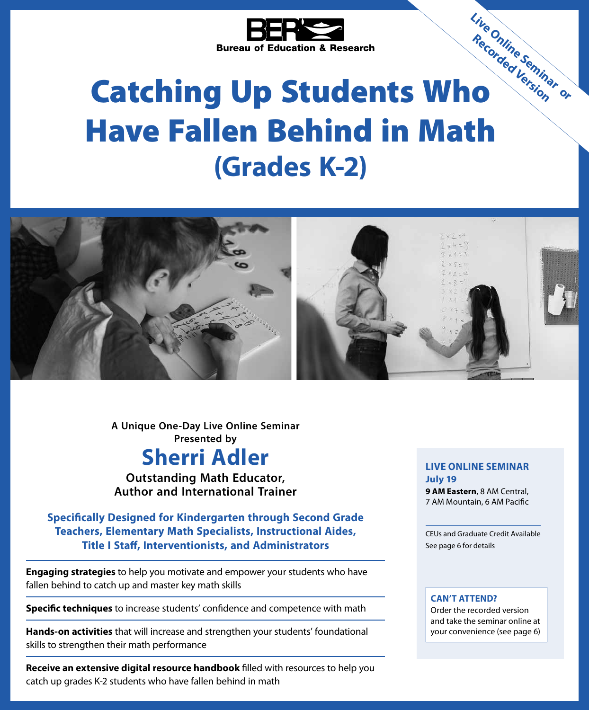

# Bureau of Education .....<br>Catching Up Students Who Have Fallen Behind in Math **(Grades K-2) Live Online Seminar or Recorded Version**



**Sherri Adler A Unique One-Day Live Online Seminar Presented by**

**Outstanding Math Educator, Author and International Trainer**

**Specifically Designed for Kindergarten through Second Grade Teachers, Elementary Math Specialists, Instructional Aides, Title I Staff, Interventionists, and Administrators**

**Engaging strategies** to help you motivate and empower your students who have fallen behind to catch up and master key math skills

**Specific techniques** to increase students' confidence and competence with math

**Hands-on activities** that will increase and strengthen your students' foundational skills to strengthen their math performance

**Receive an extensive digital resource handbook** filled with resources to help you catch up grades K-2 students who have fallen behind in math

### **LIVE ONLINE SEMINAR July 19**

**9 AM Eastern**, 8 AM Central, 7 AM Mountain, 6 AM Pacific

CEUs and Graduate Credit Available See page 6 for details

# **CAN'T ATTEND?**

Order the recorded version and take the seminar online at your convenience (see page 6)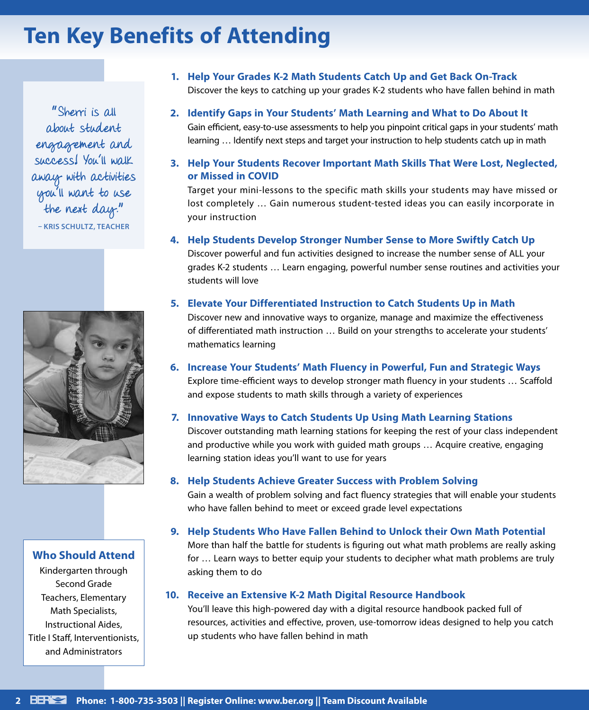# **Ten Key Benefits of Attending**

" Sherri is all about student engagement and success! You'll walk away with activities you'll want to use the next day." **– KRIS SCHULTZ, TEACHER**



**Who Should Attend**

Kindergarten through Second Grade Teachers, Elementary Math Specialists, Instructional Aides, Title I Staff, Interventionists, and Administrators

- **1. Help Your Grades K-2 Math Students Catch Up and Get Back On-Track** Discover the keys to catching up your grades K-2 students who have fallen behind in math
- **2. Identify Gaps in Your Students' Math Learning and What to Do About It** Gain efficient, easy-to-use assessments to help you pinpoint critical gaps in your students' math learning … Identify next steps and target your instruction to help students catch up in math
- **3. Help Your Students Recover Important Math Skills That Were Lost, Neglected, or Missed in COVID**

Target your mini-lessons to the specific math skills your students may have missed or lost completely … Gain numerous student-tested ideas you can easily incorporate in your instruction

**4. Help Students Develop Stronger Number Sense to More Swiftly Catch Up**

Discover powerful and fun activities designed to increase the number sense of ALL your grades K-2 students … Learn engaging, powerful number sense routines and activities your students will love

**5. Elevate Your Differentiated Instruction to Catch Students Up in Math**

Discover new and innovative ways to organize, manage and maximize the effectiveness of differentiated math instruction … Build on your strengths to accelerate your students' mathematics learning

**6. Increase Your Students' Math Fluency in Powerful, Fun and Strategic Ways**

Explore time-efficient ways to develop stronger math fluency in your students … Scaffold and expose students to math skills through a variety of experiences

# **7. Innovative Ways to Catch Students Up Using Math Learning Stations**

Discover outstanding math learning stations for keeping the rest of your class independent and productive while you work with guided math groups … Acquire creative, engaging learning station ideas you'll want to use for years

# **8. Help Students Achieve Greater Success with Problem Solving**

Gain a wealth of problem solving and fact fluency strategies that will enable your students who have fallen behind to meet or exceed grade level expectations

**9. Help Students Who Have Fallen Behind to Unlock their Own Math Potential**

More than half the battle for students is figuring out what math problems are really asking for … Learn ways to better equip your students to decipher what math problems are truly asking them to do

# **10. Receive an Extensive K-2 Math Digital Resource Handbook**

You'll leave this high-powered day with a digital resource handbook packed full of resources, activities and effective, proven, use-tomorrow ideas designed to help you catch up students who have fallen behind in math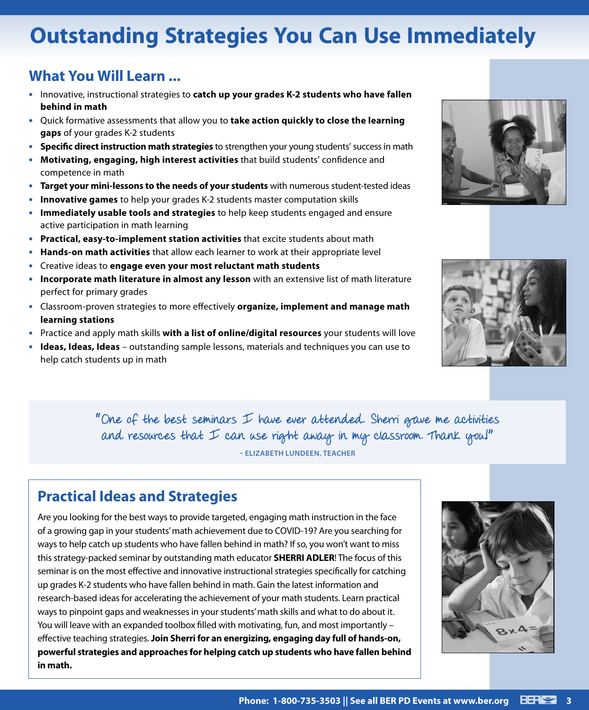# **Outstanding Strategies You Can Use Immediately**

# **What You Will Learn ...**

- **•** Innovative, instructional strategies to **catch up your grades K-2 students who have fallen behind in math**
- **•** Quick formative assessments that allow you to **take action quickly to close the learning gaps** of your grades K-2 students
- **• Specific direct instruction math strategies** to strengthen your young students' success in math
- **• Motivating, engaging, high interest activities** that build students' confidence and competence in math
- **• Target your mini-lessons to the needs of your students** with numerous student-tested ideas
- **• Innovative games** to help your grades K-2 students master computation skills
- **• Immediately usable tools and strategies** to help keep students engaged and ensure active participation in math learning
- **• Practical, easy-to-implement station activities** that excite students about math
- **• Hands-on math activities** that allow each learner to work at their appropriate level
- **•** Creative ideas to **engage even your most reluctant math students**
- **• Incorporate math literature in almost any lesson** with an extensive list of math literature perfect for primary grades
- **•** Classroom-proven strategies to more effectively **organize, implement and manage math learning stations**
- **•** Practice and apply math skills **with a list of online/digital resources** your students will love
- **• Ideas, Ideas, Ideas** outstanding sample lessons, materials and techniques you can use to help catch students up in math





" One of the best seminars I have ever attended. Sherri gave me activities and resources that  $I$  can use right away in my classroom. Thank you!" **– ELIZABETH LUNDEEN, TEACHER**

# **Practical Ideas and Strategies**

Are you looking for the best ways to provide targeted, engaging math instruction in the face of a growing gap in your students' math achievement due to COVID-19? Are you searching for ways to help catch up students who have fallen behind in math? If so, you won't want to miss this strategy-packed seminar by outstanding math educator **SHERRI ADLER**! The focus of this seminar is on the most effective and innovative instructional strategies specifically for catching up grades K-2 students who have fallen behind in math. Gain the latest information and research-based ideas for accelerating the achievement of your math students. Learn practical ways to pinpoint gaps and weaknesses in your students' math skills and what to do about it. You will leave with an expanded toolbox filled with motivating, fun, and most importantly – effective teaching strategies. **Join Sherri for an energizing, engaging day full of hands-on, powerful strategies and approaches for helping catch up students who have fallen behind in math.**

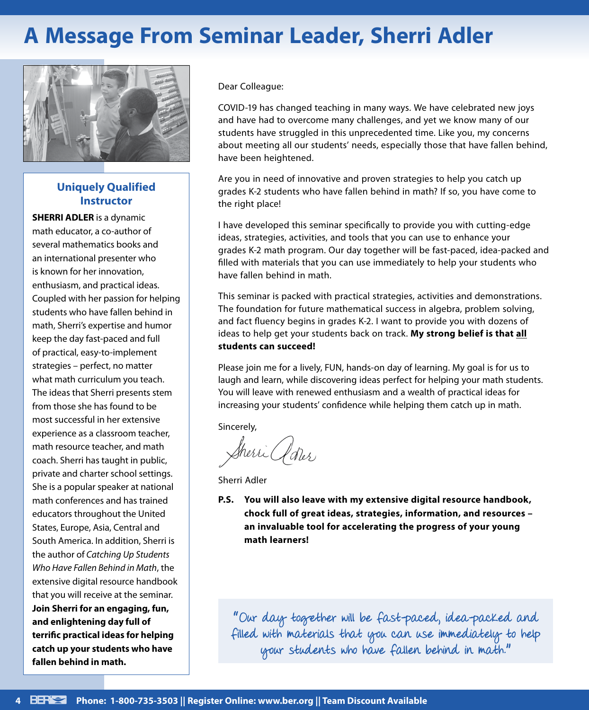# **A Message From Seminar Leader, Sherri Adler**



# **Uniquely Qualified Instructor**

**SHERRI ADLER** is a dynamic math educator, a co-author of several mathematics books and an international presenter who is known for her innovation, enthusiasm, and practical ideas. Coupled with her passion for helping students who have fallen behind in math, Sherri's expertise and humor keep the day fast-paced and full of practical, easy-to-implement strategies – perfect, no matter what math curriculum you teach. The ideas that Sherri presents stem from those she has found to be most successful in her extensive experience as a classroom teacher, math resource teacher, and math coach. Sherri has taught in public, private and charter school settings. She is a popular speaker at national math conferences and has trained educators throughout the United States, Europe, Asia, Central and South America. In addition, Sherri is the author of *Catching Up Students Who Have Fallen Behind in Math*, the extensive digital resource handbook that you will receive at the seminar. **Join Sherri for an engaging, fun, and enlightening day full of terrific practical ideas for helping catch up your students who have fallen behind in math.**

Dear Colleague:

COVID-19 has changed teaching in many ways. We have celebrated new joys and have had to overcome many challenges, and yet we know many of our students have struggled in this unprecedented time. Like you, my concerns about meeting all our students' needs, especially those that have fallen behind, have been heightened.

Are you in need of innovative and proven strategies to help you catch up grades K-2 students who have fallen behind in math? If so, you have come to the right place!

I have developed this seminar specifically to provide you with cutting-edge ideas, strategies, activities, and tools that you can use to enhance your grades K-2 math program. Our day together will be fast-paced, idea-packed and filled with materials that you can use immediately to help your students who have fallen behind in math.

This seminar is packed with practical strategies, activities and demonstrations. The foundation for future mathematical success in algebra, problem solving, and fact fluency begins in grades K-2. I want to provide you with dozens of ideas to help get your students back on track. **My strong belief is that all students can succeed!**

Please join me for a lively, FUN, hands-on day of learning. My goal is for us to laugh and learn, while discovering ideas perfect for helping your math students. You will leave with renewed enthusiasm and a wealth of practical ideas for increasing your students' confidence while helping them catch up in math.

Sincerely,

Sherri Clorer

Sherri Adler

**P.S. You will also leave with my extensive digital resource handbook, chock full of great ideas, strategies, information, and resources – an invaluable tool for accelerating the progress of your young math learners!**

" Our day together will be fast-paced, idea-packed and filled with materials that you can use immediately to help your students who have fallen behind in math."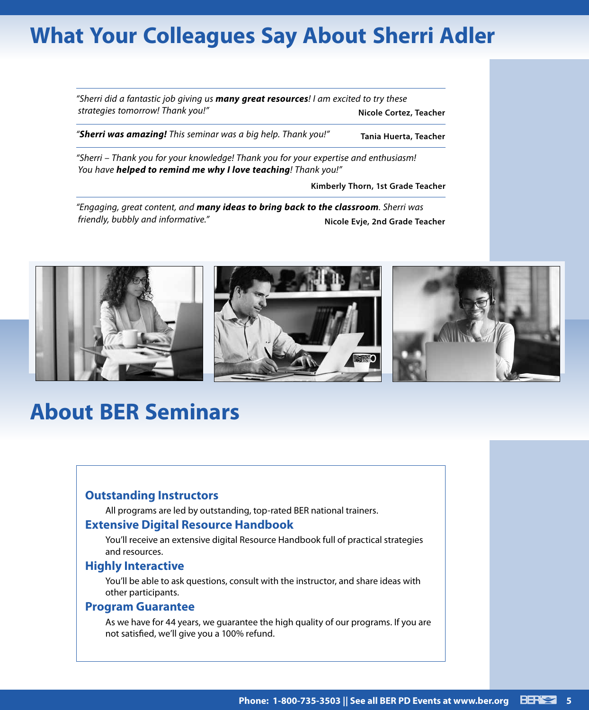# **What Your Colleagues Say About Sherri Adler**

*"Sherri did a fantastic job giving us many great resources! I am excited to try these strategies tomorrow! Thank you!"* **Nicole Cortez, Teacher** *"Sherri was amazing! This seminar was a big help. Thank you!"* **Tania Huerta, Teacher** *"Sherri – Thank you for your knowledge! Thank you for your expertise and enthusiasm! You have helped to remind me why I love teaching! Thank you!"*

**Kimberly Thorn, 1st Grade Teacher**

*"Engaging, great content, and many ideas to bring back to the classroom. Sherri was friendly, bubbly and informative."* **Nicole Evje, 2nd Grade Teacher**



# **About BER Seminars**

# **Outstanding Instructors**

All programs are led by outstanding, top-rated BER national trainers.

### **Extensive Digital Resource Handbook**

You'll receive an extensive digital Resource Handbook full of practical strategies and resources.

#### **Highly Interactive**

You'll be able to ask questions, consult with the instructor, and share ideas with other participants.

### **Program Guarantee**

As we have for 44 years, we guarantee the high quality of our programs. If you are not satisfied, we'll give you a 100% refund.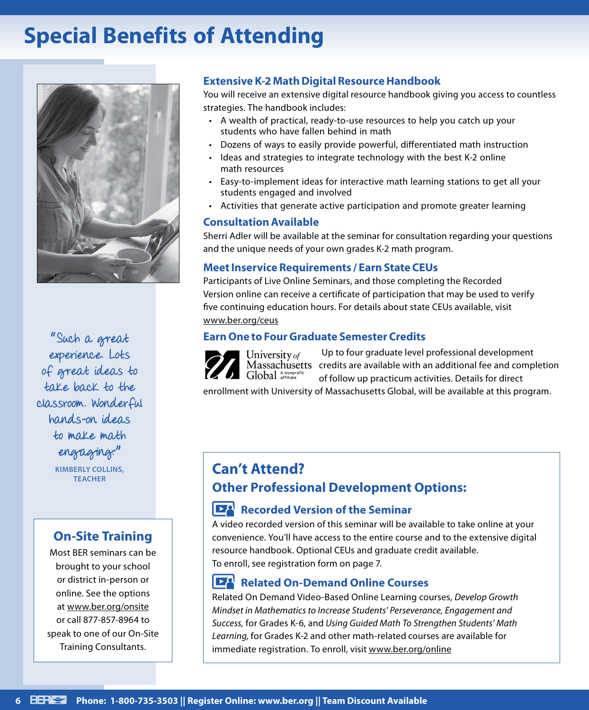# **Special Benefits of Attending**



" Such a great experience. Lots of great ideas to take back to the classroom. Wonderful hands-on ideas to make math engaging. "

> **KIMBERLY COLLINS, TEACHER**

# **On-Site Training**

Most BER seminars can be brought to your school or district in-person or online. See the options at www.ber.org/onsite or call 877-857-8964 to speak to one of our On-Site Training Consultants.

# **Extensive K-2 Math Digital Resource Handbook**

You will receive an extensive digital resource handbook giving you access to countless strategies. The handbook includes:

- A wealth of practical, ready-to-use resources to help you catch up your students who have fallen behind in math
- Dozens of ways to easily provide powerful, differentiated math instruction
- Ideas and strategies to integrate technology with the best K-2 online math resources
- Easy-to-implement ideas for interactive math learning stations to get all your students engaged and involved
- Activities that generate active participation and promote greater learning

# **Consultation Available**

Sherri Adler will be available at the seminar for consultation regarding your questions and the unique needs of your own grades K-2 math program.

# **Meet Inservice Requirements / Earn State CEUs**

Participants of Live Online Seminars, and those completing the Recorded Version online can receive a certificate of participation that may be used to verify five continuing education hours. For details about state CEUs available, visit www.ber.org/ceus

# **Earn One to Four Graduate Semester Credits**

Up to four graduate level professional development University of Massachusetts credits are available with an additional fee and completion Global Anonprof of follow up practicum activities. Details for direct

enrollment with University of Massachusetts Global, will be available at this program.

# **Can't Attend? Other Professional Development Options:**

# **Recorded Version of the Seminar**

A video recorded version of this seminar will be available to take online at your convenience. You'll have access to the entire course and to the extensive digital resource handbook. Optional CEUs and graduate credit available. To enroll, see registration form on page 7.

# **Related On-Demand Online Courses**

Related On Demand Video-Based Online Learning courses, *Develop Growth Mindset in Mathematics to Increase Students' Perseverance, Engagement and Success,* for Grades K-6, and *Using Guided Math To Strengthen Students' Math Learning,* for Grades K-2 and other math-related courses are available for immediate registration. To enroll, visit www.ber.org/online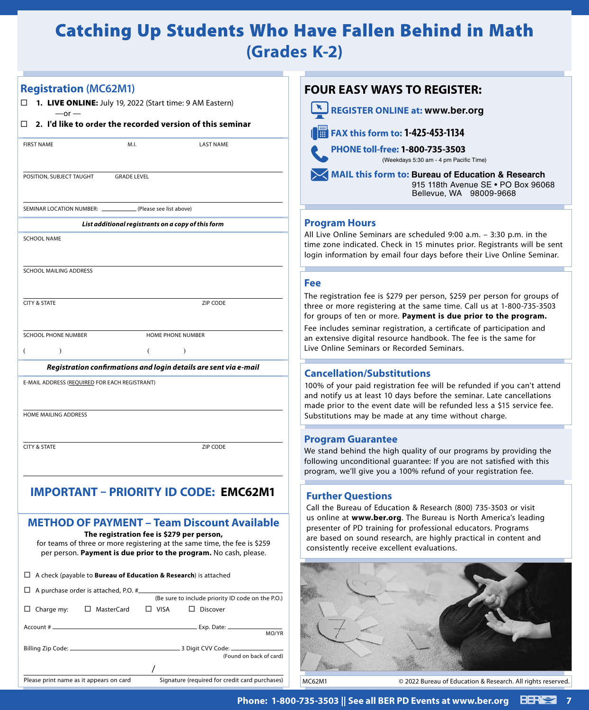# Catching Up Students Who Have Fallen Behind in Math **(Grades K-2)**

# **Registration (MC62M1)**

 $-$ or  $-$ 

**1.** LIVE ONLINE**:** July 19, 2022 (Start time: 9 AM Eastern)

#### **2. I'd like to order the recorded version of this seminar**

| <b>FIRST NAME</b>                                               | M.I.               | <b>LAST NAME</b>                                                 |  |  |  |  |
|-----------------------------------------------------------------|--------------------|------------------------------------------------------------------|--|--|--|--|
| POSITION, SUBJECT TAUGHT                                        | <b>GRADE LEVEL</b> |                                                                  |  |  |  |  |
| SEMINAR LOCATION NUMBER: ______________ (Please see list above) |                    |                                                                  |  |  |  |  |
| List additional registrants on a copy of this form              |                    |                                                                  |  |  |  |  |
| <b>SCHOOL NAME</b>                                              |                    |                                                                  |  |  |  |  |
|                                                                 |                    |                                                                  |  |  |  |  |
| SCHOOL MAILING ADDRESS                                          |                    |                                                                  |  |  |  |  |
|                                                                 |                    |                                                                  |  |  |  |  |
| <b>CITY &amp; STATE</b>                                         |                    | ZIP CODE                                                         |  |  |  |  |
| <b>SCHOOL PHONE NUMBER</b>                                      |                    |                                                                  |  |  |  |  |
|                                                                 |                    | <b>HOME PHONE NUMBER</b>                                         |  |  |  |  |
| $\mathcal{E}$<br>(                                              | €                  | ⟩                                                                |  |  |  |  |
|                                                                 |                    | Registration confirmations and login details are sent via e-mail |  |  |  |  |
| E-MAIL ADDRESS (REQUIRED FOR EACH REGISTRANT)                   |                    |                                                                  |  |  |  |  |
|                                                                 |                    |                                                                  |  |  |  |  |
| <b>HOME MAILING ADDRESS</b>                                     |                    |                                                                  |  |  |  |  |
|                                                                 |                    |                                                                  |  |  |  |  |
|                                                                 |                    |                                                                  |  |  |  |  |

### **IMPORTANT – PRIORITY ID CODE: EMC62M1 Fill in the six digit number on the mail label next to the word "ID" or on your email**

# **METHOD OF PAYMENT – Team Discount Available**

**The registration fee is \$279 per person,** for teams of three or more registering at the same time, the fee is \$259 per person. **Payment is due prior to the program.** No cash, please.

|                                                                                           | $\Box$ A check (payable to <b>Bureau of Education &amp; Research</b> ) is attached |  |                                                   |                         |
|-------------------------------------------------------------------------------------------|------------------------------------------------------------------------------------|--|---------------------------------------------------|-------------------------|
|                                                                                           | $\Box$ A purchase order is attached, P.O. $\#$                                     |  | (Be sure to include priority ID code on the P.O.) |                         |
|                                                                                           | Charge my: $\Box$ MasterCard $\Box$ VISA $\Box$ Discover                           |  |                                                   |                         |
|                                                                                           |                                                                                    |  |                                                   | MO/YR                   |
|                                                                                           |                                                                                    |  |                                                   | (Found on back of card) |
|                                                                                           |                                                                                    |  |                                                   |                         |
| Please print name as it appears on card<br>Signature (required for credit card purchases) |                                                                                    |  |                                                   |                         |



#### **Program Hours**

All Live Online Seminars are scheduled 9:00 a.m. – 3:30 p.m. in the time zone indicated. Check in 15 minutes prior. Registrants will be sent login information by email four days before their Live Online Seminar.

#### **Fee**

The registration fee is \$279 per person, \$259 per person for groups of three or more registering at the same time. Call us at 1-800-735-3503 for groups of ten or more. **Payment is due prior to the program.**

Fee includes seminar registration, a certificate of participation and an extensive digital resource handbook. The fee is the same for Live Online Seminars or Recorded Seminars.

### **Cancellation/Substitutions**

100% of your paid registration fee will be refunded if you can't attend and notify us at least 10 days before the seminar. Late cancellations made prior to the event date will be refunded less a \$15 service fee. Substitutions may be made at any time without charge.

#### **Program Guarantee**

We stand behind the high quality of our programs by providing the following unconditional guarantee: If you are not satisfied with this program, we'll give you a 100% refund of your registration fee.

#### **Further Questions**

Call the Bureau of Education & Research (800) 735-3503 or visit us online at **www.ber.org**. The Bureau is North America's leading presenter of PD training for professional educators. Programs are based on sound research, are highly practical in content and consistently receive excellent evaluations.